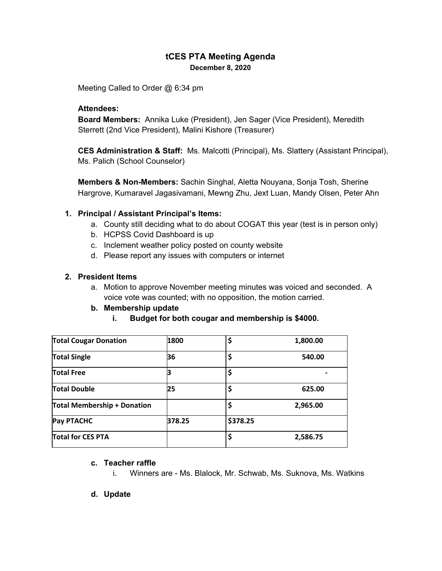### **tCES PTA Meeting Agenda December 8, 2020**

Meeting Called to Order @ 6:34 pm

#### **Attendees:**

**Board Members:** Annika Luke (President), Jen Sager (Vice President), Meredith Sterrett (2nd Vice President), Malini Kishore (Treasurer)

**CES Administration & Staff:** Ms. Malcotti (Principal), Ms. Slattery (Assistant Principal), Ms. Palich (School Counselor)

**Members & Non-Members:** Sachin Singhal, Aletta Nouyana, Sonja Tosh, Sherine Hargrove, Kumaravel Jagasivamani, Mewng Zhu, Jext Luan, Mandy Olsen, Peter Ahn

#### **1. Principal / Assistant Principal's Items:**

- a. County still deciding what to do about COGAT this year (test is in person only)
- b. HCPSS Covid Dashboard is up
- c. Inclement weather policy posted on county website
- d. Please report any issues with computers or internet

#### **2. President Items**

a. Motion to approve November meeting minutes was voiced and seconded. A voice vote was counted; with no opposition, the motion carried.

### **b. Membership update**

### **i. Budget for both cougar and membership is \$4000.**

| <b>Total Cougar Donation</b>       | 1800   | \$       | 1,800.00 |
|------------------------------------|--------|----------|----------|
| <b>Total Single</b>                | 36     | \$       | 540.00   |
| <b>Total Free</b>                  |        | \$       |          |
| <b>Total Double</b>                | 25     |          | 625.00   |
| <b>Total Membership + Donation</b> |        | \$       | 2,965.00 |
| <b>Pay PTACHC</b>                  | 378.25 | \$378.25 |          |
| <b>Total for CES PTA</b>           |        | \$       | 2,586.75 |

#### **c. Teacher raffle**

- i. Winners are Ms. Blalock, Mr. Schwab, Ms. Suknova, Ms. Watkins
- **d. Update**